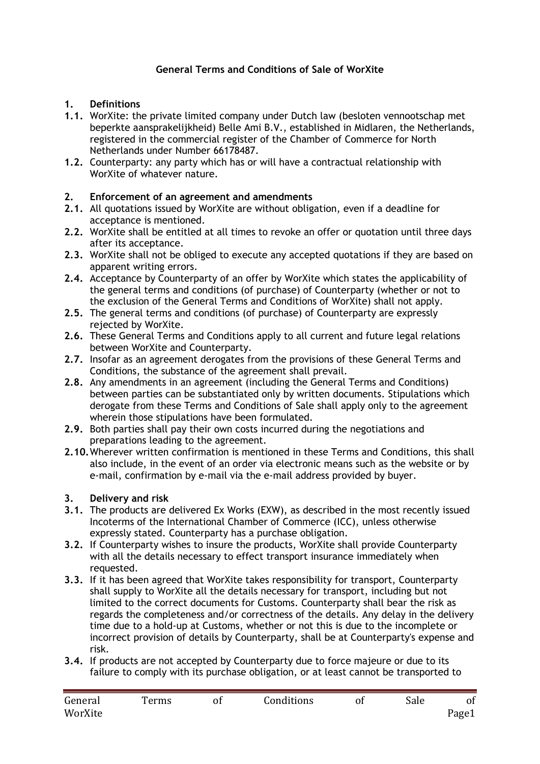# **General Terms and Conditions of Sale of WorXite**

### **1. Definitions**

- **1.1.** WorXite: the private limited company under Dutch law (besloten vennootschap met beperkte aansprakelijkheid) Belle Ami B.V., established in Midlaren, the Netherlands, registered in the commercial register of the Chamber of Commerce for North Netherlands under Number 66178487.
- **1.2.** Counterparty: any party which has or will have a contractual relationship with WorXite of whatever nature.

### **2. Enforcement of an agreement and amendments**

- **2.1.** All quotations issued by WorXite are without obligation, even if a deadline for acceptance is mentioned.
- **2.2.** WorXite shall be entitled at all times to revoke an offer or quotation until three days after its acceptance.
- **2.3.** WorXite shall not be obliged to execute any accepted quotations if they are based on apparent writing errors.
- **2.4.** Acceptance by Counterparty of an offer by WorXite which states the applicability of the general terms and conditions (of purchase) of Counterparty (whether or not to the exclusion of the General Terms and Conditions of WorXite) shall not apply.
- **2.5.** The general terms and conditions (of purchase) of Counterparty are expressly rejected by WorXite.
- **2.6.** These General Terms and Conditions apply to all current and future legal relations between WorXite and Counterparty.
- **2.7.** Insofar as an agreement derogates from the provisions of these General Terms and Conditions, the substance of the agreement shall prevail.
- **2.8.** Any amendments in an agreement (including the General Terms and Conditions) between parties can be substantiated only by written documents. Stipulations which derogate from these Terms and Conditions of Sale shall apply only to the agreement wherein those stipulations have been formulated.
- **2.9.** Both parties shall pay their own costs incurred during the negotiations and preparations leading to the agreement.
- **2.10.**Wherever written confirmation is mentioned in these Terms and Conditions, this shall also include, in the event of an order via electronic means such as the website or by e-mail, confirmation by e-mail via the e-mail address provided by buyer.

#### **3. Delivery and risk**

- **3.1.** The products are delivered Ex Works (EXW), as described in the most recently issued Incoterms of the International Chamber of Commerce (ICC), unless otherwise expressly stated. Counterparty has a purchase obligation.
- **3.2.** If Counterparty wishes to insure the products, WorXite shall provide Counterparty with all the details necessary to effect transport insurance immediately when requested.
- **3.3.** If it has been agreed that WorXite takes responsibility for transport, Counterparty shall supply to WorXite all the details necessary for transport, including but not limited to the correct documents for Customs. Counterparty shall bear the risk as regards the completeness and/or correctness of the details. Any delay in the delivery time due to a hold-up at Customs, whether or not this is due to the incomplete or incorrect provision of details by Counterparty, shall be at Counterparty's expense and risk.
- **3.4.** If products are not accepted by Counterparty due to force majeure or due to its failure to comply with its purchase obligation, or at least cannot be transported to

| General | Terms | Conditions | Sale |       |
|---------|-------|------------|------|-------|
| WorXite |       |            |      | Page1 |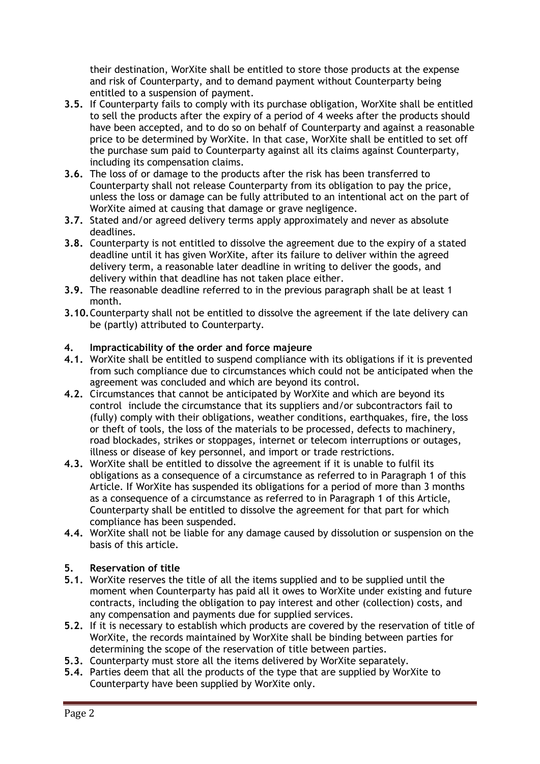their destination, WorXite shall be entitled to store those products at the expense and risk of Counterparty, and to demand payment without Counterparty being entitled to a suspension of payment.

- **3.5.** If Counterparty fails to comply with its purchase obligation, WorXite shall be entitled to sell the products after the expiry of a period of 4 weeks after the products should have been accepted, and to do so on behalf of Counterparty and against a reasonable price to be determined by WorXite. In that case, WorXite shall be entitled to set off the purchase sum paid to Counterparty against all its claims against Counterparty, including its compensation claims.
- **3.6.** The loss of or damage to the products after the risk has been transferred to Counterparty shall not release Counterparty from its obligation to pay the price, unless the loss or damage can be fully attributed to an intentional act on the part of WorXite aimed at causing that damage or grave negligence.
- **3.7.** Stated and/or agreed delivery terms apply approximately and never as absolute deadlines.
- **3.8.** Counterparty is not entitled to dissolve the agreement due to the expiry of a stated deadline until it has given WorXite, after its failure to deliver within the agreed delivery term, a reasonable later deadline in writing to deliver the goods, and delivery within that deadline has not taken place either.
- **3.9.** The reasonable deadline referred to in the previous paragraph shall be at least 1 month.
- **3.10.**Counterparty shall not be entitled to dissolve the agreement if the late delivery can be (partly) attributed to Counterparty.

## **4. Impracticability of the order and force majeure**

- **4.1.** WorXite shall be entitled to suspend compliance with its obligations if it is prevented from such compliance due to circumstances which could not be anticipated when the agreement was concluded and which are beyond its control.
- **4.2.** Circumstances that cannot be anticipated by WorXite and which are beyond its control include the circumstance that its suppliers and/or subcontractors fail to (fully) comply with their obligations, weather conditions, earthquakes, fire, the loss or theft of tools, the loss of the materials to be processed, defects to machinery, road blockades, strikes or stoppages, internet or telecom interruptions or outages, illness or disease of key personnel, and import or trade restrictions.
- **4.3.** WorXite shall be entitled to dissolve the agreement if it is unable to fulfil its obligations as a consequence of a circumstance as referred to in Paragraph 1 of this Article. If WorXite has suspended its obligations for a period of more than 3 months as a consequence of a circumstance as referred to in Paragraph 1 of this Article, Counterparty shall be entitled to dissolve the agreement for that part for which compliance has been suspended.
- **4.4.** WorXite shall not be liable for any damage caused by dissolution or suspension on the basis of this article.

### **5. Reservation of title**

- **5.1.** WorXite reserves the title of all the items supplied and to be supplied until the moment when Counterparty has paid all it owes to WorXite under existing and future contracts, including the obligation to pay interest and other (collection) costs, and any compensation and payments due for supplied services.
- **5.2.** If it is necessary to establish which products are covered by the reservation of title of WorXite, the records maintained by WorXite shall be binding between parties for determining the scope of the reservation of title between parties.
- **5.3.** Counterparty must store all the items delivered by WorXite separately.
- **5.4.** Parties deem that all the products of the type that are supplied by WorXite to Counterparty have been supplied by WorXite only.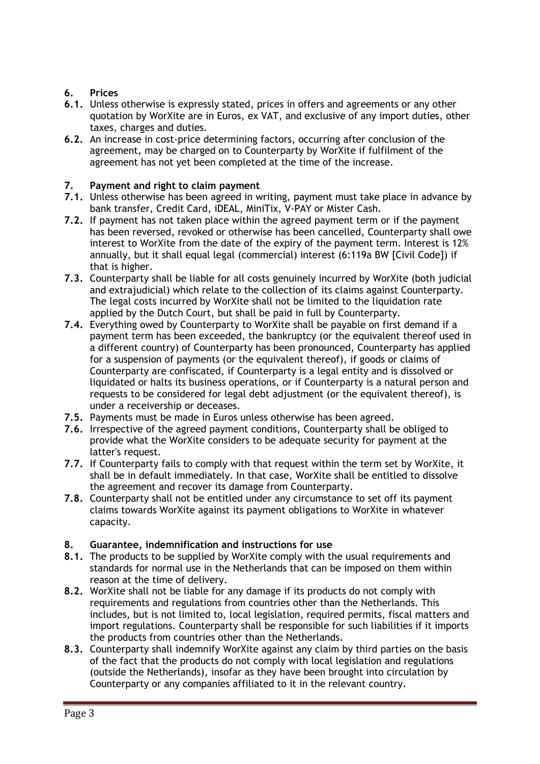# **6. Prices**

- **6.1.** Unless otherwise is expressly stated, prices in offers and agreements or any other quotation by WorXite are in Euros, ex VAT, and exclusive of any import duties, other taxes, charges and duties.
- **6.2.** An increase in cost-price determining factors, occurring after conclusion of the agreement, may be charged on to Counterparty by WorXite if fulfilment of the agreement has not yet been completed at the time of the increase.

## **7. Payment and right to claim payment**

- **7.1.** Unless otherwise has been agreed in writing, payment must take place in advance by bank transfer, Credit Card, iDEAL, MiniTix, V-PAY or Mister Cash.
- **7.2.** If payment has not taken place within the agreed payment term or if the payment has been reversed, revoked or otherwise has been cancelled, Counterparty shall owe interest to WorXite from the date of the expiry of the payment term. Interest is 12% annually, but it shall equal legal (commercial) interest (6:119a BW [Civil Code]) if that is higher.
- **7.3.** Counterparty shall be liable for all costs genuinely incurred by WorXite (both judicial and extrajudicial) which relate to the collection of its claims against Counterparty. The legal costs incurred by WorXite shall not be limited to the liquidation rate applied by the Dutch Court, but shall be paid in full by Counterparty.
- **7.4.** Everything owed by Counterparty to WorXite shall be payable on first demand if a payment term has been exceeded, the bankruptcy (or the equivalent thereof used in a different country) of Counterparty has been pronounced, Counterparty has applied for a suspension of payments (or the equivalent thereof), if goods or claims of Counterparty are confiscated, if Counterparty is a legal entity and is dissolved or liquidated or halts its business operations, or if Counterparty is a natural person and requests to be considered for legal debt adjustment (or the equivalent thereof), is under a receivership or deceases.
- **7.5.** Payments must be made in Euros unless otherwise has been agreed.
- **7.6.** Irrespective of the agreed payment conditions, Counterparty shall be obliged to provide what the WorXite considers to be adequate security for payment at the latter's request.
- **7.7.** If Counterparty fails to comply with that request within the term set by WorXite, it shall be in default immediately. In that case, WorXite shall be entitled to dissolve the agreement and recover its damage from Counterparty.
- **7.8.** Counterparty shall not be entitled under any circumstance to set off its payment claims towards WorXite against its payment obligations to WorXite in whatever capacity.

# **8. Guarantee, indemnification and instructions for use**

- **8.1.** The products to be supplied by WorXite comply with the usual requirements and standards for normal use in the Netherlands that can be imposed on them within reason at the time of delivery.
- **8.2.** WorXite shall not be liable for any damage if its products do not comply with requirements and regulations from countries other than the Netherlands. This includes, but is not limited to, local legislation, required permits, fiscal matters and import regulations. Counterparty shall be responsible for such liabilities if it imports the products from countries other than the Netherlands.
- **8.3.** Counterparty shall indemnify WorXite against any claim by third parties on the basis of the fact that the products do not comply with local legislation and regulations (outside the Netherlands), insofar as they have been brought into circulation by Counterparty or any companies affiliated to it in the relevant country.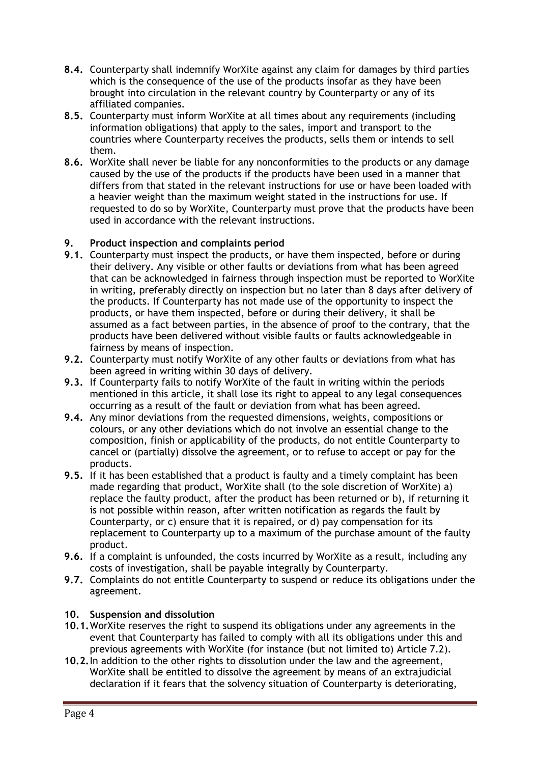- **8.4.** Counterparty shall indemnify WorXite against any claim for damages by third parties which is the consequence of the use of the products insofar as they have been brought into circulation in the relevant country by Counterparty or any of its affiliated companies.
- **8.5.** Counterparty must inform WorXite at all times about any requirements (including information obligations) that apply to the sales, import and transport to the countries where Counterparty receives the products, sells them or intends to sell them.
- **8.6.** WorXite shall never be liable for any nonconformities to the products or any damage caused by the use of the products if the products have been used in a manner that differs from that stated in the relevant instructions for use or have been loaded with a heavier weight than the maximum weight stated in the instructions for use. If requested to do so by WorXite, Counterparty must prove that the products have been used in accordance with the relevant instructions.

### **9. Product inspection and complaints period**

- **9.1.** Counterparty must inspect the products, or have them inspected, before or during their delivery. Any visible or other faults or deviations from what has been agreed that can be acknowledged in fairness through inspection must be reported to WorXite in writing, preferably directly on inspection but no later than 8 days after delivery of the products. If Counterparty has not made use of the opportunity to inspect the products, or have them inspected, before or during their delivery, it shall be assumed as a fact between parties, in the absence of proof to the contrary, that the products have been delivered without visible faults or faults acknowledgeable in fairness by means of inspection.
- **9.2.** Counterparty must notify WorXite of any other faults or deviations from what has been agreed in writing within 30 days of delivery.
- **9.3.** If Counterparty fails to notify WorXite of the fault in writing within the periods mentioned in this article, it shall lose its right to appeal to any legal consequences occurring as a result of the fault or deviation from what has been agreed.
- **9.4.** Any minor deviations from the requested dimensions, weights, compositions or colours, or any other deviations which do not involve an essential change to the composition, finish or applicability of the products, do not entitle Counterparty to cancel or (partially) dissolve the agreement, or to refuse to accept or pay for the products.
- **9.5.** If it has been established that a product is faulty and a timely complaint has been made regarding that product, WorXite shall (to the sole discretion of WorXite) a) replace the faulty product, after the product has been returned or b), if returning it is not possible within reason, after written notification as regards the fault by Counterparty, or c) ensure that it is repaired, or d) pay compensation for its replacement to Counterparty up to a maximum of the purchase amount of the faulty product.
- **9.6.** If a complaint is unfounded, the costs incurred by WorXite as a result, including any costs of investigation, shall be payable integrally by Counterparty.
- **9.7.** Complaints do not entitle Counterparty to suspend or reduce its obligations under the agreement.

#### **10. Suspension and dissolution**

- **10.1.**WorXite reserves the right to suspend its obligations under any agreements in the event that Counterparty has failed to comply with all its obligations under this and previous agreements with WorXite (for instance (but not limited to) Article 7.2).
- **10.2.**In addition to the other rights to dissolution under the law and the agreement, WorXite shall be entitled to dissolve the agreement by means of an extrajudicial declaration if it fears that the solvency situation of Counterparty is deteriorating,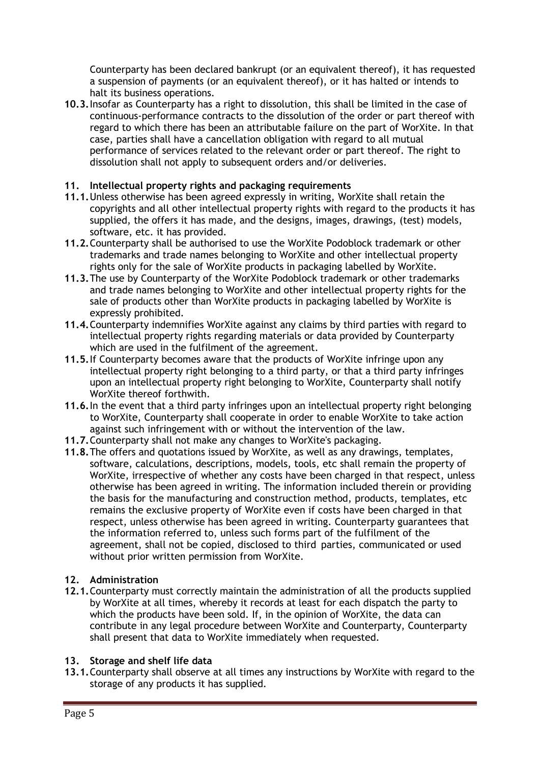Counterparty has been declared bankrupt (or an equivalent thereof), it has requested a suspension of payments (or an equivalent thereof), or it has halted or intends to halt its business operations.

**10.3.**Insofar as Counterparty has a right to dissolution, this shall be limited in the case of continuous-performance contracts to the dissolution of the order or part thereof with regard to which there has been an attributable failure on the part of WorXite. In that case, parties shall have a cancellation obligation with regard to all mutual performance of services related to the relevant order or part thereof. The right to dissolution shall not apply to subsequent orders and/or deliveries.

## **11. Intellectual property rights and packaging requirements**

- **11.1.**Unless otherwise has been agreed expressly in writing, WorXite shall retain the copyrights and all other intellectual property rights with regard to the products it has supplied, the offers it has made, and the designs, images, drawings, (test) models, software, etc. it has provided.
- **11.2.**Counterparty shall be authorised to use the WorXite Podoblock trademark or other trademarks and trade names belonging to WorXite and other intellectual property rights only for the sale of WorXite products in packaging labelled by WorXite.
- **11.3.**The use by Counterparty of the WorXite Podoblock trademark or other trademarks and trade names belonging to WorXite and other intellectual property rights for the sale of products other than WorXite products in packaging labelled by WorXite is expressly prohibited.
- **11.4.**Counterparty indemnifies WorXite against any claims by third parties with regard to intellectual property rights regarding materials or data provided by Counterparty which are used in the fulfilment of the agreement.
- **11.5.**If Counterparty becomes aware that the products of WorXite infringe upon any intellectual property right belonging to a third party, or that a third party infringes upon an intellectual property right belonging to WorXite, Counterparty shall notify WorXite thereof forthwith.
- **11.6.**In the event that a third party infringes upon an intellectual property right belonging to WorXite, Counterparty shall cooperate in order to enable WorXite to take action against such infringement with or without the intervention of the law.
- **11.7.**Counterparty shall not make any changes to WorXite's packaging.
- **11.8.**The offers and quotations issued by WorXite, as well as any drawings, templates, software, calculations, descriptions, models, tools, etc shall remain the property of WorXite, irrespective of whether any costs have been charged in that respect, unless otherwise has been agreed in writing. The information included therein or providing the basis for the manufacturing and construction method, products, templates, etc remains the exclusive property of WorXite even if costs have been charged in that respect, unless otherwise has been agreed in writing. Counterparty guarantees that the information referred to, unless such forms part of the fulfilment of the agreement, shall not be copied, disclosed to third parties, communicated or used without prior written permission from WorXite.

# **12. Administration**

**12.1.**Counterparty must correctly maintain the administration of all the products supplied by WorXite at all times, whereby it records at least for each dispatch the party to which the products have been sold. If, in the opinion of WorXite, the data can contribute in any legal procedure between WorXite and Counterparty, Counterparty shall present that data to WorXite immediately when requested.

### **13. Storage and shelf life data**

**13.1.**Counterparty shall observe at all times any instructions by WorXite with regard to the storage of any products it has supplied.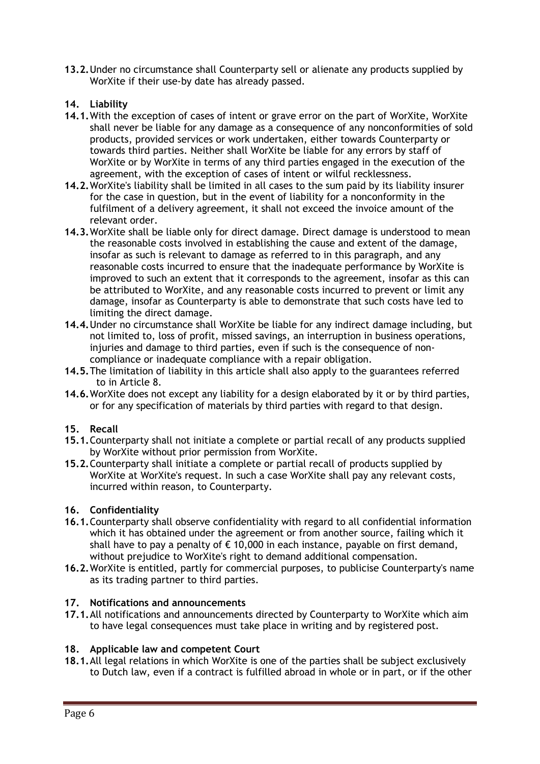**13.2.**Under no circumstance shall Counterparty sell or alienate any products supplied by WorXite if their use-by date has already passed.

## **14. Liability**

- **14.1.**With the exception of cases of intent or grave error on the part of WorXite, WorXite shall never be liable for any damage as a consequence of any nonconformities of sold products, provided services or work undertaken, either towards Counterparty or towards third parties. Neither shall WorXite be liable for any errors by staff of WorXite or by WorXite in terms of any third parties engaged in the execution of the agreement, with the exception of cases of intent or wilful recklessness.
- **14.2.**WorXite's liability shall be limited in all cases to the sum paid by its liability insurer for the case in question, but in the event of liability for a nonconformity in the fulfilment of a delivery agreement, it shall not exceed the invoice amount of the relevant order.
- **14.3.**WorXite shall be liable only for direct damage. Direct damage is understood to mean the reasonable costs involved in establishing the cause and extent of the damage, insofar as such is relevant to damage as referred to in this paragraph, and any reasonable costs incurred to ensure that the inadequate performance by WorXite is improved to such an extent that it corresponds to the agreement, insofar as this can be attributed to WorXite, and any reasonable costs incurred to prevent or limit any damage, insofar as Counterparty is able to demonstrate that such costs have led to limiting the direct damage.
- **14.4.**Under no circumstance shall WorXite be liable for any indirect damage including, but not limited to, loss of profit, missed savings, an interruption in business operations, injuries and damage to third parties, even if such is the consequence of noncompliance or inadequate compliance with a repair obligation.
- **14.5.**The limitation of liability in this article shall also apply to the guarantees referred to in Article 8.
- **14.6.**WorXite does not except any liability for a design elaborated by it or by third parties, or for any specification of materials by third parties with regard to that design.

### **15. Recall**

- **15.1.**Counterparty shall not initiate a complete or partial recall of any products supplied by WorXite without prior permission from WorXite.
- **15.2.**Counterparty shall initiate a complete or partial recall of products supplied by WorXite at WorXite's request. In such a case WorXite shall pay any relevant costs, incurred within reason, to Counterparty.

### **16. Confidentiality**

- **16.1.**Counterparty shall observe confidentiality with regard to all confidential information which it has obtained under the agreement or from another source, failing which it shall have to pay a penalty of  $\epsilon$  10,000 in each instance, payable on first demand, without prejudice to WorXite's right to demand additional compensation.
- **16.2.**WorXite is entitled, partly for commercial purposes, to publicise Counterparty's name as its trading partner to third parties.

#### **17. Notifications and announcements**

**17.1.**All notifications and announcements directed by Counterparty to WorXite which aim to have legal consequences must take place in writing and by registered post.

### **18. Applicable law and competent Court**

**18.1.**All legal relations in which WorXite is one of the parties shall be subject exclusively to Dutch law, even if a contract is fulfilled abroad in whole or in part, or if the other